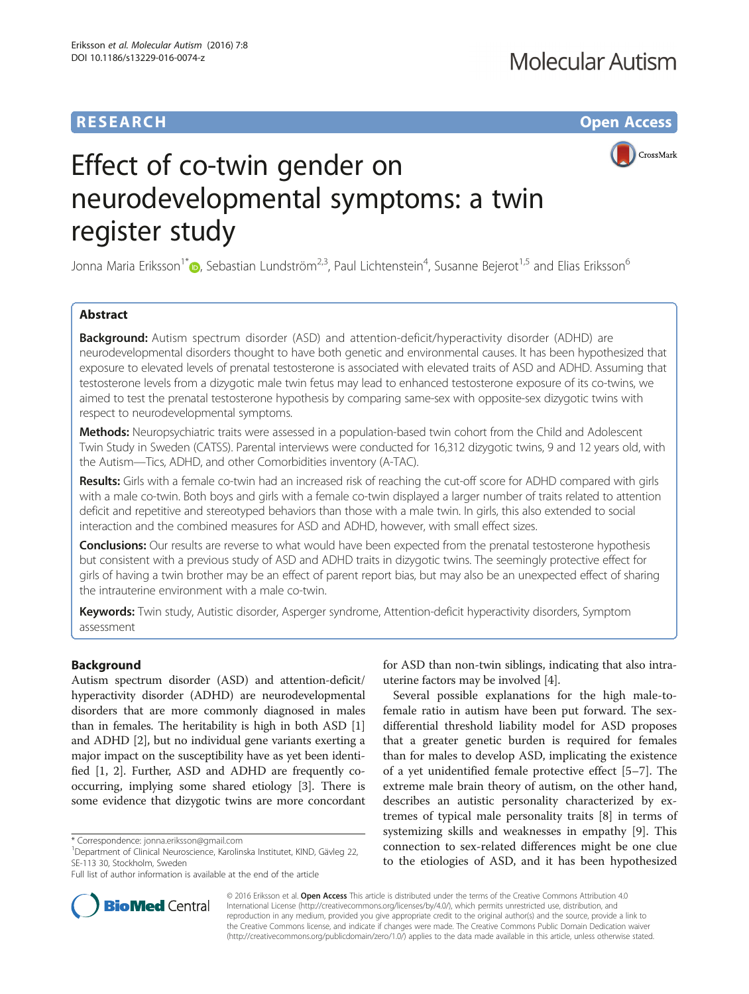# **RESEARCH CHE Open Access**



# Effect of co-twin gender on neurodevelopmental symptoms: a twin register study

Jonna Maria Eriksson $^{\dagger}$   $\bm{\odot}$ , Sebastian Lundström $^{2,3}$ , Paul Lichtenstein $^4$ , Susanne Bejerot $^{1,5}$  and Elias Eriksson $^6$ 

# Abstract

**Background:** Autism spectrum disorder (ASD) and attention-deficit/hyperactivity disorder (ADHD) are neurodevelopmental disorders thought to have both genetic and environmental causes. It has been hypothesized that exposure to elevated levels of prenatal testosterone is associated with elevated traits of ASD and ADHD. Assuming that testosterone levels from a dizygotic male twin fetus may lead to enhanced testosterone exposure of its co-twins, we aimed to test the prenatal testosterone hypothesis by comparing same-sex with opposite-sex dizygotic twins with respect to neurodevelopmental symptoms.

Methods: Neuropsychiatric traits were assessed in a population-based twin cohort from the Child and Adolescent Twin Study in Sweden (CATSS). Parental interviews were conducted for 16,312 dizygotic twins, 9 and 12 years old, with the Autism—Tics, ADHD, and other Comorbidities inventory (A-TAC).

Results: Girls with a female co-twin had an increased risk of reaching the cut-off score for ADHD compared with girls with a male co-twin. Both boys and girls with a female co-twin displayed a larger number of traits related to attention deficit and repetitive and stereotyped behaviors than those with a male twin. In girls, this also extended to social interaction and the combined measures for ASD and ADHD, however, with small effect sizes.

**Conclusions:** Our results are reverse to what would have been expected from the prenatal testosterone hypothesis but consistent with a previous study of ASD and ADHD traits in dizygotic twins. The seemingly protective effect for girls of having a twin brother may be an effect of parent report bias, but may also be an unexpected effect of sharing the intrauterine environment with a male co-twin.

Keywords: Twin study, Autistic disorder, Asperger syndrome, Attention-deficit hyperactivity disorders, Symptom assessment

# Background

Autism spectrum disorder (ASD) and attention-deficit/ hyperactivity disorder (ADHD) are neurodevelopmental disorders that are more commonly diagnosed in males than in females. The heritability is high in both ASD [[1](#page-4-0)] and ADHD [\[2](#page-4-0)], but no individual gene variants exerting a major impact on the susceptibility have as yet been identified [[1, 2](#page-4-0)]. Further, ASD and ADHD are frequently cooccurring, implying some shared etiology [\[3\]](#page-4-0). There is some evidence that dizygotic twins are more concordant for ASD than non-twin siblings, indicating that also intrauterine factors may be involved [[4\]](#page-4-0).

Several possible explanations for the high male-tofemale ratio in autism have been put forward. The sexdifferential threshold liability model for ASD proposes that a greater genetic burden is required for females than for males to develop ASD, implicating the existence of a yet unidentified female protective effect [[5](#page-4-0)–[7](#page-4-0)]. The extreme male brain theory of autism, on the other hand, describes an autistic personality characterized by extremes of typical male personality traits [\[8](#page-4-0)] in terms of systemizing skills and weaknesses in empathy [[9\]](#page-5-0). This connection to sex-related differences might be one clue to the etiologies of ASD, and it has been hypothesized



© 2016 Eriksson et al. Open Access This article is distributed under the terms of the Creative Commons Attribution 4.0 International License [\(http://creativecommons.org/licenses/by/4.0/](http://creativecommons.org/licenses/by/4.0/)), which permits unrestricted use, distribution, and reproduction in any medium, provided you give appropriate credit to the original author(s) and the source, provide a link to the Creative Commons license, and indicate if changes were made. The Creative Commons Public Domain Dedication waiver [\(http://creativecommons.org/publicdomain/zero/1.0/](http://creativecommons.org/publicdomain/zero/1.0/)) applies to the data made available in this article, unless otherwise stated.

<sup>\*</sup> Correspondence: [jonna.eriksson@gmail.com](mailto:jonna.eriksson@gmail.com) <sup>1</sup>

Department of Clinical Neuroscience, Karolinska Institutet, KIND, Gävleg 22, SE-113 30, Stockholm, Sweden

Full list of author information is available at the end of the article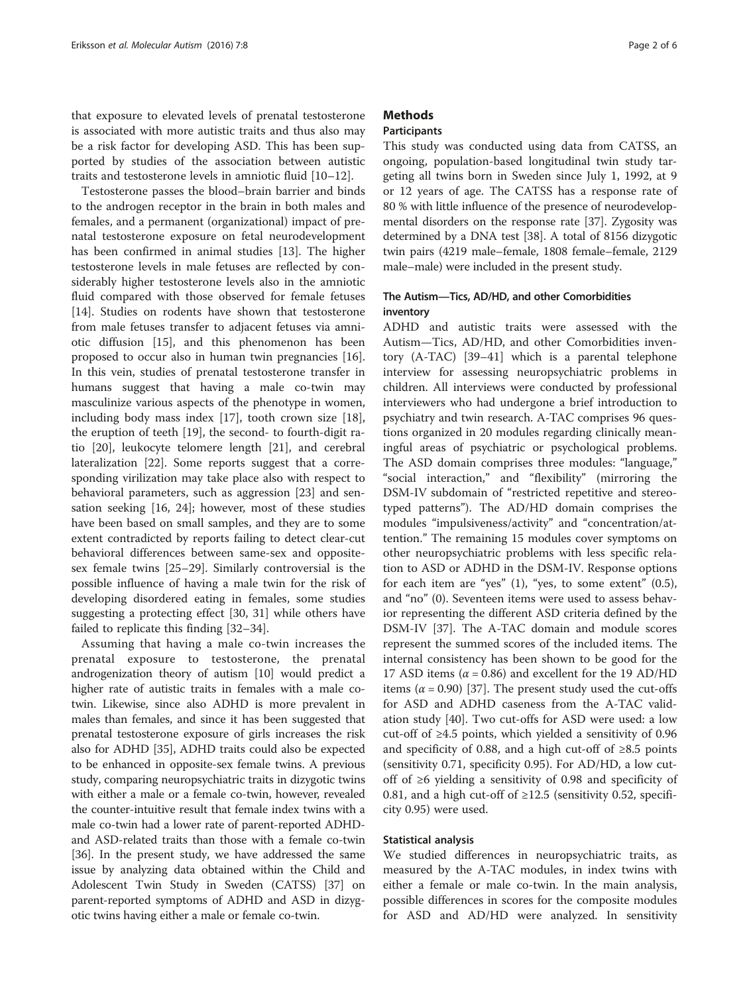that exposure to elevated levels of prenatal testosterone is associated with more autistic traits and thus also may be a risk factor for developing ASD. This has been supported by studies of the association between autistic traits and testosterone levels in amniotic fluid [[10](#page-5-0)–[12](#page-5-0)].

Testosterone passes the blood–brain barrier and binds to the androgen receptor in the brain in both males and females, and a permanent (organizational) impact of prenatal testosterone exposure on fetal neurodevelopment has been confirmed in animal studies [[13](#page-5-0)]. The higher testosterone levels in male fetuses are reflected by considerably higher testosterone levels also in the amniotic fluid compared with those observed for female fetuses [[14\]](#page-5-0). Studies on rodents have shown that testosterone from male fetuses transfer to adjacent fetuses via amniotic diffusion [\[15](#page-5-0)], and this phenomenon has been proposed to occur also in human twin pregnancies [\[16](#page-5-0)]. In this vein, studies of prenatal testosterone transfer in humans suggest that having a male co-twin may masculinize various aspects of the phenotype in women, including body mass index [[17](#page-5-0)], tooth crown size [\[18](#page-5-0)], the eruption of teeth [\[19\]](#page-5-0), the second- to fourth-digit ratio [\[20](#page-5-0)], leukocyte telomere length [[21\]](#page-5-0), and cerebral lateralization [[22\]](#page-5-0). Some reports suggest that a corresponding virilization may take place also with respect to behavioral parameters, such as aggression [[23\]](#page-5-0) and sensation seeking [\[16](#page-5-0), [24\]](#page-5-0); however, most of these studies have been based on small samples, and they are to some extent contradicted by reports failing to detect clear-cut behavioral differences between same-sex and oppositesex female twins [\[25](#page-5-0)–[29\]](#page-5-0). Similarly controversial is the possible influence of having a male twin for the risk of developing disordered eating in females, some studies suggesting a protecting effect [\[30](#page-5-0), [31\]](#page-5-0) while others have failed to replicate this finding [\[32](#page-5-0)–[34\]](#page-5-0).

Assuming that having a male co-twin increases the prenatal exposure to testosterone, the prenatal androgenization theory of autism [\[10\]](#page-5-0) would predict a higher rate of autistic traits in females with a male cotwin. Likewise, since also ADHD is more prevalent in males than females, and since it has been suggested that prenatal testosterone exposure of girls increases the risk also for ADHD [[35\]](#page-5-0), ADHD traits could also be expected to be enhanced in opposite-sex female twins. A previous study, comparing neuropsychiatric traits in dizygotic twins with either a male or a female co-twin, however, revealed the counter-intuitive result that female index twins with a male co-twin had a lower rate of parent-reported ADHDand ASD-related traits than those with a female co-twin [[36](#page-5-0)]. In the present study, we have addressed the same issue by analyzing data obtained within the Child and Adolescent Twin Study in Sweden (CATSS) [[37\]](#page-5-0) on parent-reported symptoms of ADHD and ASD in dizygotic twins having either a male or female co-twin.

# **Methods**

#### Participants

This study was conducted using data from CATSS, an ongoing, population-based longitudinal twin study targeting all twins born in Sweden since July 1, 1992, at 9 or 12 years of age. The CATSS has a response rate of 80 % with little influence of the presence of neurodevelopmental disorders on the response rate [[37](#page-5-0)]. Zygosity was determined by a DNA test [\[38](#page-5-0)]. A total of 8156 dizygotic twin pairs (4219 male–female, 1808 female–female, 2129 male–male) were included in the present study.

## The Autism—Tics, AD/HD, and other Comorbidities inventory

ADHD and autistic traits were assessed with the Autism—Tics, AD/HD, and other Comorbidities inventory (A-TAC) [\[39](#page-5-0)–[41\]](#page-5-0) which is a parental telephone interview for assessing neuropsychiatric problems in children. All interviews were conducted by professional interviewers who had undergone a brief introduction to psychiatry and twin research. A-TAC comprises 96 questions organized in 20 modules regarding clinically meaningful areas of psychiatric or psychological problems. The ASD domain comprises three modules: "language," "social interaction," and "flexibility" (mirroring the DSM-IV subdomain of "restricted repetitive and stereotyped patterns"). The AD/HD domain comprises the modules "impulsiveness/activity" and "concentration/attention." The remaining 15 modules cover symptoms on other neuropsychiatric problems with less specific relation to ASD or ADHD in the DSM-IV. Response options for each item are "yes"  $(1)$ , "yes, to some extent"  $(0.5)$ , and "no" (0). Seventeen items were used to assess behavior representing the different ASD criteria defined by the DSM-IV [\[37](#page-5-0)]. The A-TAC domain and module scores represent the summed scores of the included items. The internal consistency has been shown to be good for the 17 ASD items ( $\alpha$  = 0.86) and excellent for the 19 AD/HD items ( $\alpha$  = 0.90) [\[37](#page-5-0)]. The present study used the cut-offs for ASD and ADHD caseness from the A-TAC validation study [\[40\]](#page-5-0). Two cut-offs for ASD were used: a low cut-off of ≥4.5 points, which yielded a sensitivity of 0.96 and specificity of 0.88, and a high cut-off of ≥8.5 points (sensitivity 0.71, specificity 0.95). For AD/HD, a low cutoff of ≥6 yielding a sensitivity of 0.98 and specificity of 0.81, and a high cut-off of  $\geq$ 12.5 (sensitivity 0.52, specificity 0.95) were used.

#### Statistical analysis

We studied differences in neuropsychiatric traits, as measured by the A-TAC modules, in index twins with either a female or male co-twin. In the main analysis, possible differences in scores for the composite modules for ASD and AD/HD were analyzed. In sensitivity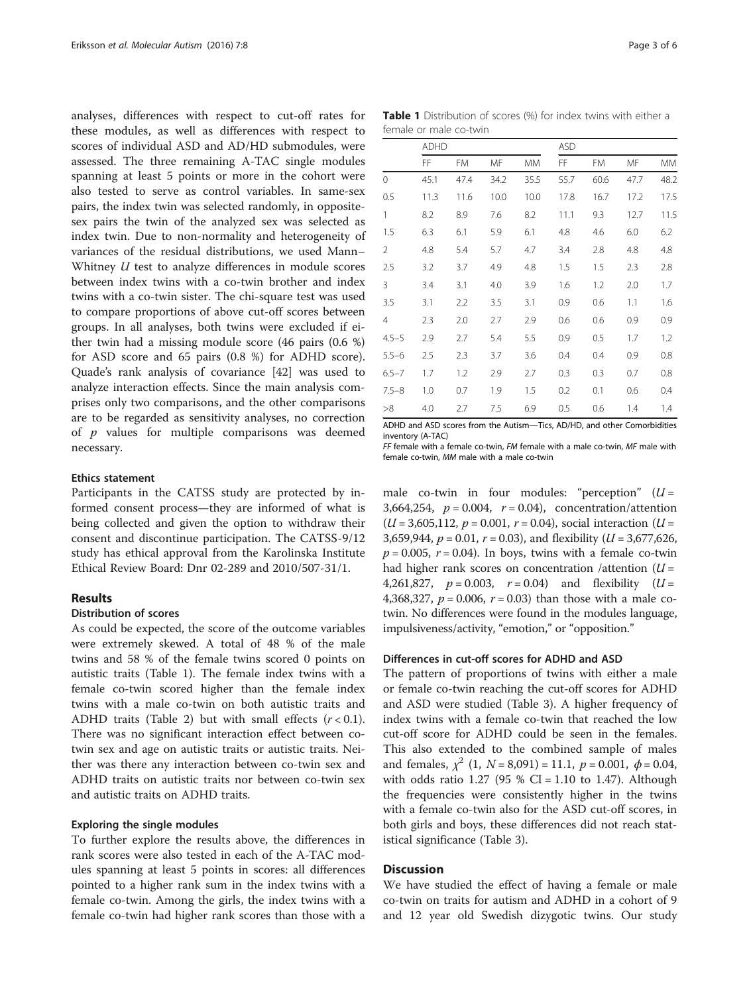analyses, differences with respect to cut-off rates for these modules, as well as differences with respect to scores of individual ASD and AD/HD submodules, were assessed. The three remaining A-TAC single modules spanning at least 5 points or more in the cohort were also tested to serve as control variables. In same-sex pairs, the index twin was selected randomly, in oppositesex pairs the twin of the analyzed sex was selected as index twin. Due to non-normality and heterogeneity of variances of the residual distributions, we used Mann– Whitney *U* test to analyze differences in module scores between index twins with a co-twin brother and index twins with a co-twin sister. The chi-square test was used to compare proportions of above cut-off scores between groups. In all analyses, both twins were excluded if either twin had a missing module score (46 pairs (0.6 %) for ASD score and 65 pairs (0.8 %) for ADHD score). Quade's rank analysis of covariance [\[42](#page-5-0)] was used to analyze interaction effects. Since the main analysis comprises only two comparisons, and the other comparisons are to be regarded as sensitivity analyses, no correction of  $p$  values for multiple comparisons was deemed necessary.

#### Ethics statement

Participants in the CATSS study are protected by informed consent process—they are informed of what is being collected and given the option to withdraw their consent and discontinue participation. The CATSS-9/12 study has ethical approval from the Karolinska Institute Ethical Review Board: Dnr 02-289 and 2010/507-31/1.

#### Results

#### Distribution of scores

As could be expected, the score of the outcome variables were extremely skewed. A total of 48 % of the male twins and 58 % of the female twins scored 0 points on autistic traits (Table 1). The female index twins with a female co-twin scored higher than the female index twins with a male co-twin on both autistic traits and ADHD traits (Table [2](#page-3-0)) but with small effects  $(r < 0.1)$ . There was no significant interaction effect between cotwin sex and age on autistic traits or autistic traits. Neither was there any interaction between co-twin sex and ADHD traits on autistic traits nor between co-twin sex and autistic traits on ADHD traits.

#### Exploring the single modules

To further explore the results above, the differences in rank scores were also tested in each of the A-TAC modules spanning at least 5 points in scores: all differences pointed to a higher rank sum in the index twins with a female co-twin. Among the girls, the index twins with a female co-twin had higher rank scores than those with a

Table 1 Distribution of scores (%) for index twins with either a female or male co-twin

|              | <b>ADHD</b> |      |      | <b>ASD</b> |      |      |      |           |
|--------------|-------------|------|------|------------|------|------|------|-----------|
|              | FF.         | FM   | MF   | MM         | FF.  | FM   | MF   | <b>MM</b> |
| 0            | 45.1        | 47.4 | 34.2 | 35.5       | 55.7 | 60.6 | 47.7 | 48.2      |
| 0.5          | 11.3        | 11.6 | 10.0 | 10.0       | 17.8 | 16.7 | 17.2 | 17.5      |
| $\mathbf{1}$ | 8.2         | 8.9  | 7.6  | 8.2        | 11.1 | 9.3  | 12.7 | 11.5      |
| 1.5          | 6.3         | 6.1  | 5.9  | 6.1        | 4.8  | 4.6  | 6.0  | 6.2       |
| 2            | 4.8         | 5.4  | 5.7  | 4.7        | 3.4  | 2.8  | 4.8  | 4.8       |
| 2.5          | 3.2         | 3.7  | 4.9  | 4.8        | 1.5  | 1.5  | 2.3  | 2.8       |
| 3            | 3.4         | 3.1  | 4.0  | 3.9        | 1.6  | 1.2  | 2.0  | 1.7       |
| 3.5          | 3.1         | 2.2  | 3.5  | 3.1        | 0.9  | 0.6  | 1.1  | 1.6       |
| 4            | 2.3         | 2.0  | 2.7  | 2.9        | 0.6  | 0.6  | 0.9  | 0.9       |
| $4.5 - 5$    | 2.9         | 2.7  | 5.4  | 5.5        | 0.9  | 0.5  | 1.7  | 1.2       |
| $5.5 - 6$    | 2.5         | 2.3  | 3.7  | 3.6        | 0.4  | 0.4  | 0.9  | 0.8       |
| $6.5 - 7$    | 1.7         | 1.2  | 2.9  | 2.7        | 0.3  | 0.3  | 0.7  | 0.8       |
| $7.5 - 8$    | 1.0         | 0.7  | 1.9  | 1.5        | 0.2  | 0.1  | 0.6  | 0.4       |
| >8           | 4.0         | 2.7  | 7.5  | 6.9        | 0.5  | 0.6  | 1.4  | 1.4       |

ADHD and ASD scores from the Autism—Tics, AD/HD, and other Comorbidities inventory (A-TAC)

FF female with a female co-twin, FM female with a male co-twin, MF male with female co-twin, MM male with a male co-twin

male co-twin in four modules: "perception"  $(U =$ 3,664,254,  $p = 0.004$ ,  $r = 0.04$ ), concentration/attention  $(U = 3,605,112, p = 0.001, r = 0.04)$ , social interaction  $(U =$ 3,659,944,  $p = 0.01$ ,  $r = 0.03$ ), and flexibility ( $U = 3,677,626$ ,  $p = 0.005$ ,  $r = 0.04$ ). In boys, twins with a female co-twin had higher rank scores on concentration /attention  $(U =$ 4,261,827,  $p = 0.003$ ,  $r = 0.04$ ) and flexibility (*U* = 4,368,327,  $p = 0.006$ ,  $r = 0.03$ ) than those with a male cotwin. No differences were found in the modules language, impulsiveness/activity, "emotion," or "opposition."

#### Differences in cut-off scores for ADHD and ASD

The pattern of proportions of twins with either a male or female co-twin reaching the cut-off scores for ADHD and ASD were studied (Table [3](#page-3-0)). A higher frequency of index twins with a female co-twin that reached the low cut-off score for ADHD could be seen in the females. This also extended to the combined sample of males and females,  $\chi^2$  (1,  $N = 8,091$ ) = 11.1,  $p = 0.001$ ,  $\phi = 0.04$ , with odds ratio 1.27 (95 % CI = 1.10 to 1.47). Although the frequencies were consistently higher in the twins with a female co-twin also for the ASD cut-off scores, in both girls and boys, these differences did not reach statistical significance (Table [3\)](#page-3-0).

## **Discussion**

We have studied the effect of having a female or male co-twin on traits for autism and ADHD in a cohort of 9 and 12 year old Swedish dizygotic twins. Our study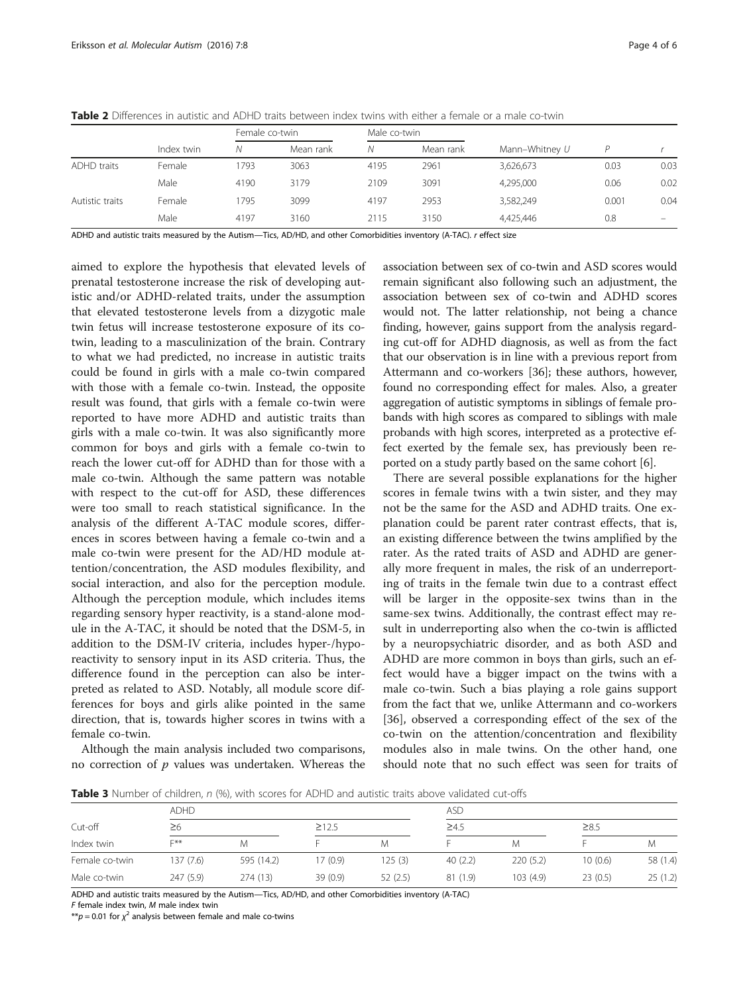|            | Female co-twin |           | Male co-twin |           |                |       |      |
|------------|----------------|-----------|--------------|-----------|----------------|-------|------|
| Index twin | Ν              | Mean rank | Ν            | Mean rank | Mann-Whitney U | D     |      |
| Female     | 793            | 3063      | 4195         | 2961      | 3,626,673      | 0.03  | 0.03 |
| Male       | 4190           | 3179      | 2109         | 3091      | 4,295,000      | 0.06  | 0.02 |
| Female     | 795            | 3099      | 4197         | 2953      | 3.582.249      | 0.001 | 0.04 |
| Male       | 4197           | 3160      | 2115         | 3150      | 4.425.446      | 0.8   |      |
|            |                |           |              |           |                |       |      |

<span id="page-3-0"></span>Table 2 Differences in autistic and ADHD traits between index twins with either a female or a male co-twin

ADHD and autistic traits measured by the Autism—Tics, AD/HD, and other Comorbidities inventory (A-TAC). r effect size

aimed to explore the hypothesis that elevated levels of prenatal testosterone increase the risk of developing autistic and/or ADHD-related traits, under the assumption that elevated testosterone levels from a dizygotic male twin fetus will increase testosterone exposure of its cotwin, leading to a masculinization of the brain. Contrary to what we had predicted, no increase in autistic traits could be found in girls with a male co-twin compared with those with a female co-twin. Instead, the opposite result was found, that girls with a female co-twin were reported to have more ADHD and autistic traits than girls with a male co-twin. It was also significantly more common for boys and girls with a female co-twin to reach the lower cut-off for ADHD than for those with a male co-twin. Although the same pattern was notable with respect to the cut-off for ASD, these differences were too small to reach statistical significance. In the analysis of the different A-TAC module scores, differences in scores between having a female co-twin and a male co-twin were present for the AD/HD module attention/concentration, the ASD modules flexibility, and social interaction, and also for the perception module. Although the perception module, which includes items regarding sensory hyper reactivity, is a stand-alone module in the A-TAC, it should be noted that the DSM-5, in addition to the DSM-IV criteria, includes hyper-/hyporeactivity to sensory input in its ASD criteria. Thus, the difference found in the perception can also be interpreted as related to ASD. Notably, all module score differences for boys and girls alike pointed in the same direction, that is, towards higher scores in twins with a female co-twin.

Although the main analysis included two comparisons, no correction of  $p$  values was undertaken. Whereas the association between sex of co-twin and ASD scores would remain significant also following such an adjustment, the association between sex of co-twin and ADHD scores would not. The latter relationship, not being a chance finding, however, gains support from the analysis regarding cut-off for ADHD diagnosis, as well as from the fact that our observation is in line with a previous report from Attermann and co-workers [\[36](#page-5-0)]; these authors, however, found no corresponding effect for males. Also, a greater aggregation of autistic symptoms in siblings of female probands with high scores as compared to siblings with male probands with high scores, interpreted as a protective effect exerted by the female sex, has previously been reported on a study partly based on the same cohort [[6\]](#page-4-0).

There are several possible explanations for the higher scores in female twins with a twin sister, and they may not be the same for the ASD and ADHD traits. One explanation could be parent rater contrast effects, that is, an existing difference between the twins amplified by the rater. As the rated traits of ASD and ADHD are generally more frequent in males, the risk of an underreporting of traits in the female twin due to a contrast effect will be larger in the opposite-sex twins than in the same-sex twins. Additionally, the contrast effect may result in underreporting also when the co-twin is afflicted by a neuropsychiatric disorder, and as both ASD and ADHD are more common in boys than girls, such an effect would have a bigger impact on the twins with a male co-twin. Such a bias playing a role gains support from the fact that we, unlike Attermann and co-workers [[36\]](#page-5-0), observed a corresponding effect of the sex of the co-twin on the attention/concentration and flexibility modules also in male twins. On the other hand, one should note that no such effect was seen for traits of

Table 3 Number of children, n (%), with scores for ADHD and autistic traits above validated cut-offs

| Cut-off<br>Index twin | <b>ADHD</b> |            |             | ASD     |            |          |            |          |
|-----------------------|-------------|------------|-------------|---------|------------|----------|------------|----------|
|                       | $\geq 6$    |            | $\geq$ 12.5 |         | $\geq 4.5$ |          | $\geq 8.5$ |          |
|                       | $E$ **      | Μ          |             | M       |            | M        |            | M        |
| Female co-twin        | 137(7.6)    | 595 (14.2) | 17(0.9)     | 125 (3) | 40(2.2)    | 220(5.2) | 10(0.6)    | 58 (1.4) |
| Male co-twin          | 247 (5.9)   | 274 (13)   | 39(0.9)     | 52(2.5) | 81 (1.9)   | 103(4.9) | 23(0.5)    | 25(1.2)  |

ADHD and autistic traits measured by the Autism—Tics, AD/HD, and other Comorbidities inventory (A-TAC) F female index twin, M male index twin

\*\* $p = 0.01$  for  $\chi^2$  analysis between female and male co-twins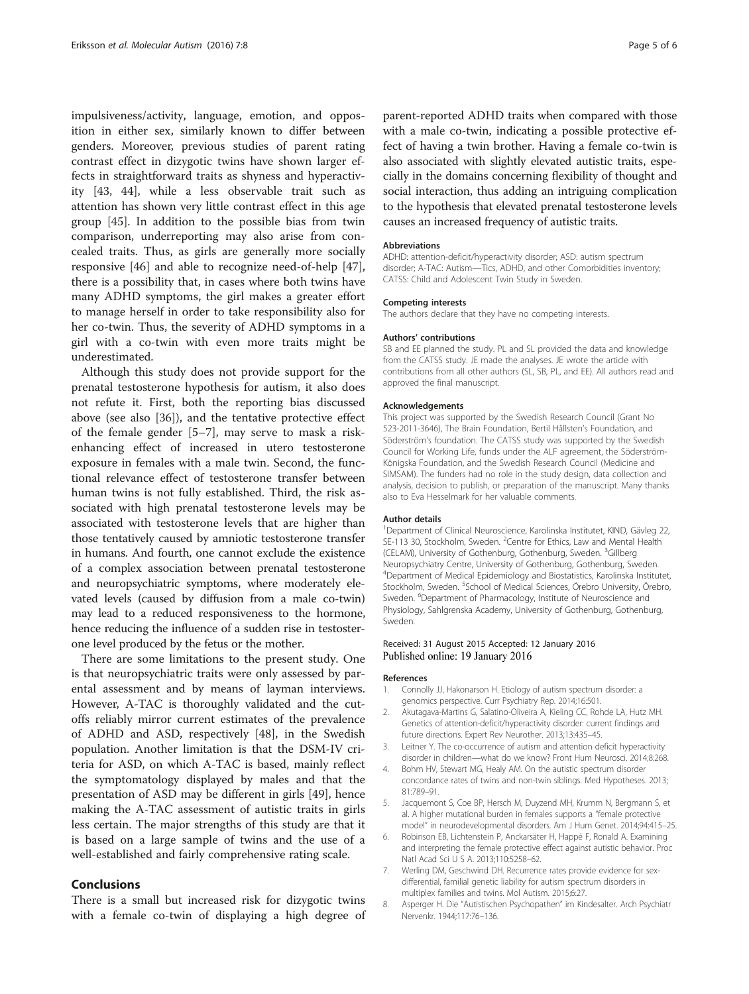<span id="page-4-0"></span>impulsiveness/activity, language, emotion, and opposition in either sex, similarly known to differ between genders. Moreover, previous studies of parent rating contrast effect in dizygotic twins have shown larger effects in straightforward traits as shyness and hyperactivity [\[43](#page-5-0), [44](#page-5-0)], while a less observable trait such as attention has shown very little contrast effect in this age group [[45](#page-5-0)]. In addition to the possible bias from twin comparison, underreporting may also arise from concealed traits. Thus, as girls are generally more socially responsive [\[46](#page-5-0)] and able to recognize need-of-help [\[47](#page-5-0)], there is a possibility that, in cases where both twins have many ADHD symptoms, the girl makes a greater effort to manage herself in order to take responsibility also for her co-twin. Thus, the severity of ADHD symptoms in a girl with a co-twin with even more traits might be underestimated.

Although this study does not provide support for the prenatal testosterone hypothesis for autism, it also does not refute it. First, both the reporting bias discussed above (see also [[36\]](#page-5-0)), and the tentative protective effect of the female gender [5–7], may serve to mask a riskenhancing effect of increased in utero testosterone exposure in females with a male twin. Second, the functional relevance effect of testosterone transfer between human twins is not fully established. Third, the risk associated with high prenatal testosterone levels may be associated with testosterone levels that are higher than those tentatively caused by amniotic testosterone transfer in humans. And fourth, one cannot exclude the existence of a complex association between prenatal testosterone and neuropsychiatric symptoms, where moderately elevated levels (caused by diffusion from a male co-twin) may lead to a reduced responsiveness to the hormone, hence reducing the influence of a sudden rise in testosterone level produced by the fetus or the mother.

There are some limitations to the present study. One is that neuropsychiatric traits were only assessed by parental assessment and by means of layman interviews. However, A-TAC is thoroughly validated and the cutoffs reliably mirror current estimates of the prevalence of ADHD and ASD, respectively [\[48\]](#page-5-0), in the Swedish population. Another limitation is that the DSM-IV criteria for ASD, on which A-TAC is based, mainly reflect the symptomatology displayed by males and that the presentation of ASD may be different in girls [\[49](#page-5-0)], hence making the A-TAC assessment of autistic traits in girls less certain. The major strengths of this study are that it is based on a large sample of twins and the use of a well-established and fairly comprehensive rating scale.

#### Conclusions

There is a small but increased risk for dizygotic twins with a female co-twin of displaying a high degree of

parent-reported ADHD traits when compared with those with a male co-twin, indicating a possible protective effect of having a twin brother. Having a female co-twin is also associated with slightly elevated autistic traits, especially in the domains concerning flexibility of thought and social interaction, thus adding an intriguing complication to the hypothesis that elevated prenatal testosterone levels causes an increased frequency of autistic traits.

#### Abbreviations

ADHD: attention-deficit/hyperactivity disorder; ASD: autism spectrum disorder; A-TAC: Autism—Tics, ADHD, and other Comorbidities inventory; CATSS: Child and Adolescent Twin Study in Sweden.

#### Competing interests

The authors declare that they have no competing interests.

#### Authors' contributions

SB and EE planned the study. PL and SL provided the data and knowledge from the CATSS study. JE made the analyses. JE wrote the article with contributions from all other authors (SL, SB, PL, and EE). All authors read and approved the final manuscript.

#### Acknowledgements

This project was supported by the Swedish Research Council (Grant No 523-2011-3646), The Brain Foundation, Bertil Hållsten's Foundation, and Söderström's foundation. The CATSS study was supported by the Swedish Council for Working Life, funds under the ALF agreement, the Söderström-Königska Foundation, and the Swedish Research Council (Medicine and SIMSAM). The funders had no role in the study design, data collection and analysis, decision to publish, or preparation of the manuscript. Many thanks also to Eva Hesselmark for her valuable comments.

#### Author details

<sup>1</sup>Department of Clinical Neuroscience, Karolinska Institutet, KIND, Gävleg 22, SE-113 30, Stockholm, Sweden. <sup>2</sup> Centre for Ethics, Law and Mental Health (CELAM), University of Gothenburg, Gothenburg, Sweden. <sup>3</sup>Gillberg Neuropsychiatry Centre, University of Gothenburg, Gothenburg, Sweden. 4 Department of Medical Epidemiology and Biostatistics, Karolinska Institutet, Stockholm, Sweden. <sup>5</sup>School of Medical Sciences, Örebro University, Örebro Sweden. <sup>6</sup>Department of Pharmacology, Institute of Neuroscience and Physiology, Sahlgrenska Academy, University of Gothenburg, Gothenburg, Sweden.

#### Received: 31 August 2015 Accepted: 12 January 2016 Published online: 19 January 2016

#### References

- 1. Connolly JJ, Hakonarson H. Etiology of autism spectrum disorder: a genomics perspective. Curr Psychiatry Rep. 2014;16:501.
- 2. Akutagava-Martins G, Salatino-Oliveira A, Kieling CC, Rohde LA, Hutz MH. Genetics of attention-deficit/hyperactivity disorder: current findings and future directions. Expert Rev Neurother. 2013;13:435–45.
- 3. Leitner Y. The co-occurrence of autism and attention deficit hyperactivity disorder in children—what do we know? Front Hum Neurosci. 2014;8:268.
- 4. Bohm HV, Stewart MG, Healy AM. On the autistic spectrum disorder concordance rates of twins and non-twin siblings. Med Hypotheses. 2013; 81:789–91.
- 5. Jacquemont S, Coe BP, Hersch M, Duyzend MH, Krumm N, Bergmann S, et al. A higher mutational burden in females supports a "female protective model" in neurodevelopmental disorders. Am J Hum Genet. 2014;94:415–25.
- 6. Robinson EB, Lichtenstein P, Anckarsäter H, Happé F, Ronald A. Examining and interpreting the female protective effect against autistic behavior. Proc Natl Acad Sci U S A. 2013;110:5258–62.
- 7. Werling DM, Geschwind DH. Recurrence rates provide evidence for sexdifferential, familial genetic liability for autism spectrum disorders in multiplex families and twins. Mol Autism. 2015;6:27.
- 8. Asperger H. Die "Autistischen Psychopathen" im Kindesalter. Arch Psychiatr Nervenkr. 1944;117:76–136.